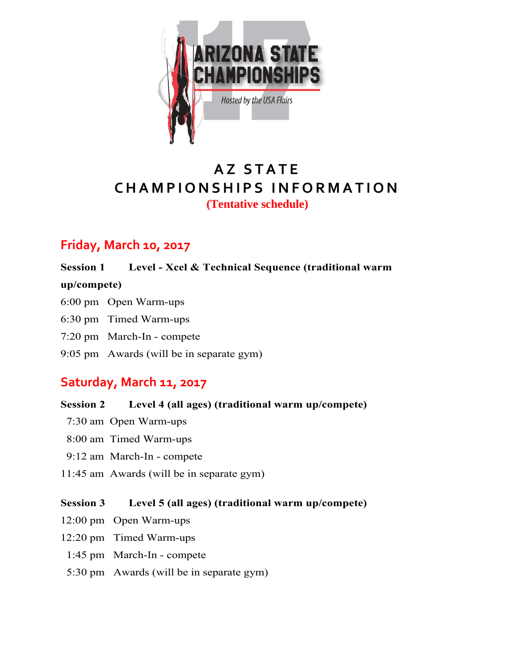

# **A Z S T A T E C H A M P I O N S H I P S I N F O R M A T I O N (Tentative schedule)**

## **Friday, March 10, 2017**

### **Session 1 Level - Xcel & Technical Sequence (traditional warm**

### **up/compete)**

- 6:00 pm Open Warm-ups
- 6:30 pm Timed Warm-ups
- 7:20 pm March-In compete
- 9:05 pm Awards (will be in separate gym)

## **Saturday, March 11, 2017**

- **Session 2 Level 4 (all ages) (traditional warm up/compete)**
- 7:30 am Open Warm-ups
- 8:00 am Timed Warm-ups
- 9:12 am March-In compete
- 11:45 am Awards (will be in separate gym)

### **Session 3 Level 5 (all ages) (traditional warm up/compete)**

- 12:00 pm Open Warm-ups
- 12:20 pm Timed Warm-ups
- 1:45 pm March-In compete
- 5:30 pm Awards (will be in separate gym)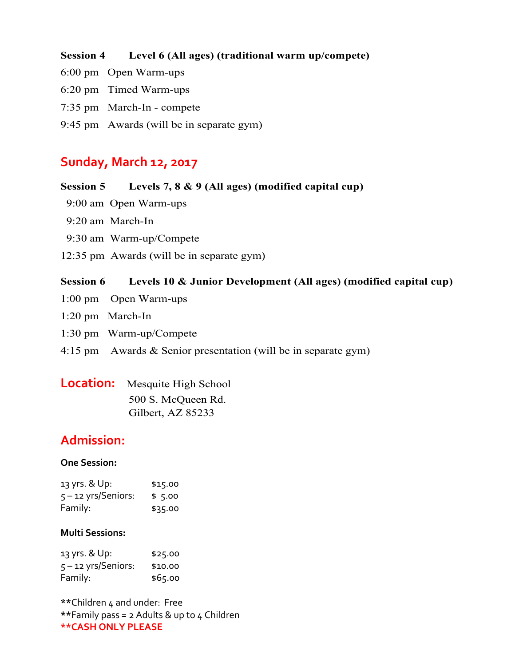### **Session 4 Level 6 (All ages) (traditional warm up/compete)**

- 6:00 pm Open Warm-ups
- 6:20 pm Timed Warm-ups
- 7:35 pm March-In compete
- 9:45 pm Awards (will be in separate gym)

## **Sunday, March 12, 2017**

#### **Session 5 Levels 7, 8 & 9 (All ages) (modified capital cup)**

- 9:00 am Open Warm-ups
- 9:20 am March-In
- 9:30 am Warm-up/Compete
- 12:35 pm Awards (will be in separate gym)

#### **Session 6 Levels 10 & Junior Development (All ages) (modified capital cup)**

- 1:00 pm Open Warm-ups
- 1:20 pm March-In
- 1:30 pm Warm-up/Compete
- 4:15 pm Awards & Senior presentation (will be in separate gym)

| <b>Location:</b> Mesquite High School |  |
|---------------------------------------|--|
| 500 S. McQueen Rd.                    |  |
| Gilbert, AZ 85233                     |  |

### **Admission:**

#### **One Session:**

| 13 yrs. & Up:         | \$15.00 |
|-----------------------|---------|
| $5 - 12$ yrs/Seniors: | \$5.00  |
| Family:               | \$35.00 |

#### **Multi Sessions:**

| 13 yrs. & Up:         | \$25.00 |
|-----------------------|---------|
| $5 - 12$ yrs/Seniors: | \$10.00 |
| Family:               | \$65.00 |

**\*\***Children 4 and under: Free **\*\***Family pass = 2 Adults & up to 4 Children **\*\*CASH ONLY PLEASE**